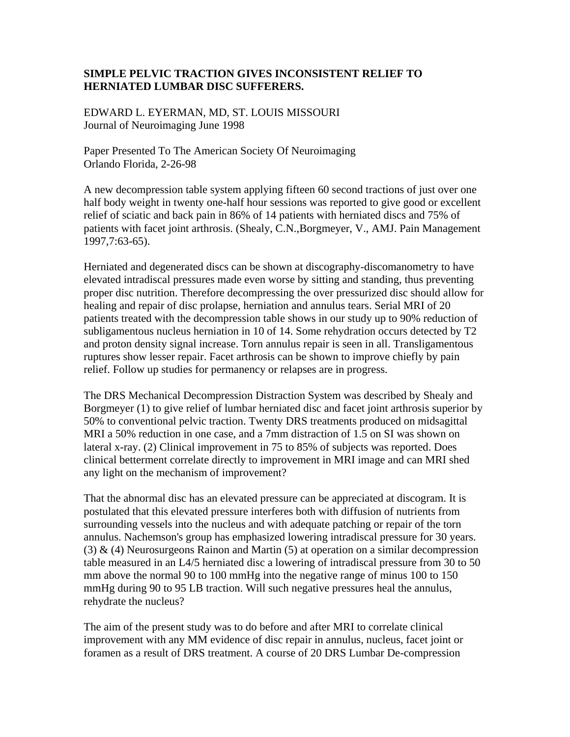## **SIMPLE PELVIC TRACTION GIVES INCONSISTENT RELIEF TO HERNIATED LUMBAR DISC SUFFERERS.**

EDWARD L. EYERMAN, MD, ST. LOUIS MISSOURI Journal of Neuroimaging June 1998

Paper Presented To The American Society Of Neuroimaging Orlando Florida, 2-26-98

A new decompression table system applying fifteen 60 second tractions of just over one half body weight in twenty one-half hour sessions was reported to give good or excellent relief of sciatic and back pain in 86% of 14 patients with herniated discs and 75% of patients with facet joint arthrosis. (Shealy, C.N.,Borgmeyer, V., AMJ. Pain Management 1997,7:63-65).

Herniated and degenerated discs can be shown at discography-discomanometry to have elevated intradiscal pressures made even worse by sitting and standing, thus preventing proper disc nutrition. Therefore decompressing the over pressurized disc should allow for healing and repair of disc prolapse, herniation and annulus tears. Serial MRI of 20 patients treated with the decompression table shows in our study up to 90% reduction of subligamentous nucleus herniation in 10 of 14. Some rehydration occurs detected by T2 and proton density signal increase. Torn annulus repair is seen in all. Transligamentous ruptures show lesser repair. Facet arthrosis can be shown to improve chiefly by pain relief. Follow up studies for permanency or relapses are in progress.

The DRS Mechanical Decompression Distraction System was described by Shealy and Borgmeyer (1) to give relief of lumbar herniated disc and facet joint arthrosis superior by 50% to conventional pelvic traction. Twenty DRS treatments produced on midsagittal MRI a 50% reduction in one case, and a 7mm distraction of 1.5 on SI was shown on lateral x-ray. (2) Clinical improvement in 75 to 85% of subjects was reported. Does clinical betterment correlate directly to improvement in MRI image and can MRI shed any light on the mechanism of improvement?

That the abnormal disc has an elevated pressure can be appreciated at discogram. It is postulated that this elevated pressure interferes both with diffusion of nutrients from surrounding vessels into the nucleus and with adequate patching or repair of the torn annulus. Nachemson's group has emphasized lowering intradiscal pressure for 30 years. (3) & (4) Neurosurgeons Rainon and Martin (5) at operation on a similar decompression table measured in an L4/5 herniated disc a lowering of intradiscal pressure from 30 to 50 mm above the normal 90 to 100 mmHg into the negative range of minus 100 to 150 mmHg during 90 to 95 LB traction. Will such negative pressures heal the annulus, rehydrate the nucleus?

The aim of the present study was to do before and after MRI to correlate clinical improvement with any MM evidence of disc repair in annulus, nucleus, facet joint or foramen as a result of DRS treatment. A course of 20 DRS Lumbar De-compression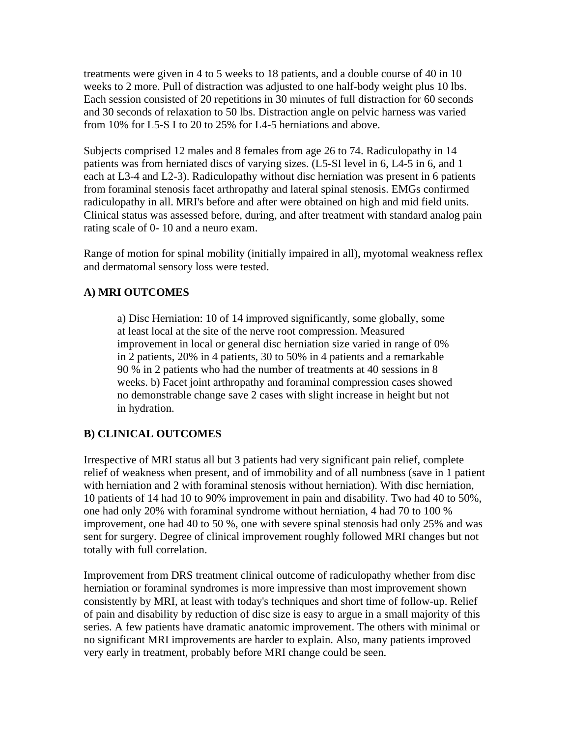treatments were given in 4 to 5 weeks to 18 patients, and a double course of 40 in 10 weeks to 2 more. Pull of distraction was adjusted to one half-body weight plus 10 lbs. Each session consisted of 20 repetitions in 30 minutes of full distraction for 60 seconds and 30 seconds of relaxation to 50 lbs. Distraction angle on pelvic harness was varied from 10% for L5-S I to 20 to 25% for L4-5 herniations and above.

Subjects comprised 12 males and 8 females from age 26 to 74. Radiculopathy in 14 patients was from herniated discs of varying sizes. (L5-SI level in 6, L4-5 in 6, and 1 each at L3-4 and L2-3). Radiculopathy without disc herniation was present in 6 patients from foraminal stenosis facet arthropathy and lateral spinal stenosis. EMGs confirmed radiculopathy in all. MRI's before and after were obtained on high and mid field units. Clinical status was assessed before, during, and after treatment with standard analog pain rating scale of 0- 10 and a neuro exam.

Range of motion for spinal mobility (initially impaired in all), myotomal weakness reflex and dermatomal sensory loss were tested.

## **A) MRI OUTCOMES**

a) Disc Herniation: 10 of 14 improved significantly, some globally, some at least local at the site of the nerve root compression. Measured improvement in local or general disc herniation size varied in range of 0% in 2 patients, 20% in 4 patients, 30 to 50% in 4 patients and a remarkable 90 % in 2 patients who had the number of treatments at 40 sessions in 8 weeks. b) Facet joint arthropathy and foraminal compression cases showed no demonstrable change save 2 cases with slight increase in height but not in hydration.

## **B) CLINICAL OUTCOMES**

Irrespective of MRI status all but 3 patients had very significant pain relief, complete relief of weakness when present, and of immobility and of all numbness (save in 1 patient with herniation and 2 with foraminal stenosis without herniation). With disc herniation, 10 patients of 14 had 10 to 90% improvement in pain and disability. Two had 40 to 50%, one had only 20% with foraminal syndrome without herniation, 4 had 70 to 100 % improvement, one had 40 to 50 %, one with severe spinal stenosis had only 25% and was sent for surgery. Degree of clinical improvement roughly followed MRI changes but not totally with full correlation.

Improvement from DRS treatment clinical outcome of radiculopathy whether from disc herniation or foraminal syndromes is more impressive than most improvement shown consistently by MRI, at least with today's techniques and short time of follow-up. Relief of pain and disability by reduction of disc size is easy to argue in a small majority of this series. A few patients have dramatic anatomic improvement. The others with minimal or no significant MRI improvements are harder to explain. Also, many patients improved very early in treatment, probably before MRI change could be seen.